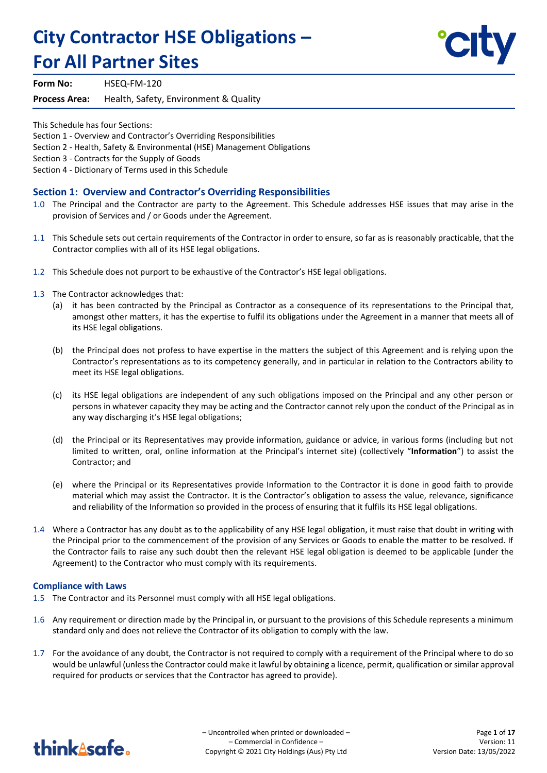# **City Contractor HSE Obligations – For All Partner Sites**



**Form No:** HSEQ-FM-120

**Process Area:** Health, Safety, Environment & Quality

This Schedule has four Sections:

Section 1 - Overview and Contractor's Overriding Responsibilities

Section 2 - Health, Safety & Environmental (HSE) Management Obligations

Section 3 - Contracts for the Supply of Goods

Section 4 - Dictionary of Terms used in this Schedule

## **Section 1: Overview and Contractor's Overriding Responsibilities**

- 1.0 The Principal and the Contractor are party to the Agreement. This Schedule addresses HSE issues that may arise in the provision of Services and / or Goods under the Agreement.
- 1.1 This Schedule sets out certain requirements of the Contractor in order to ensure, so far as is reasonably practicable, that the Contractor complies with all of its HSE legal obligations.
- 1.2 This Schedule does not purport to be exhaustive of the Contractor's HSE legal obligations.
- 1.3 The Contractor acknowledges that:
	- (a) it has been contracted by the Principal as Contractor as a consequence of its representations to the Principal that, amongst other matters, it has the expertise to fulfil its obligations under the Agreement in a manner that meets all of its HSE legal obligations.
	- (b) the Principal does not profess to have expertise in the matters the subject of this Agreement and is relying upon the Contractor's representations as to its competency generally, and in particular in relation to the Contractors ability to meet its HSE legal obligations.
	- (c) its HSE legal obligations are independent of any such obligations imposed on the Principal and any other person or persons in whatever capacity they may be acting and the Contractor cannot rely upon the conduct of the Principal as in any way discharging it's HSE legal obligations;
	- (d) the Principal or its Representatives may provide information, guidance or advice, in various forms (including but not limited to written, oral, online information at the Principal's internet site) (collectively "**Information**") to assist the Contractor; and
	- (e) where the Principal or its Representatives provide Information to the Contractor it is done in good faith to provide material which may assist the Contractor. It is the Contractor's obligation to assess the value, relevance, significance and reliability of the Information so provided in the process of ensuring that it fulfils its HSE legal obligations.
- 1.4 Where a Contractor has any doubt as to the applicability of any HSE legal obligation, it must raise that doubt in writing with the Principal prior to the commencement of the provision of any Services or Goods to enable the matter to be resolved. If the Contractor fails to raise any such doubt then the relevant HSE legal obligation is deemed to be applicable (under the Agreement) to the Contractor who must comply with its requirements.

#### **Compliance with Laws**

- 1.5 The Contractor and its Personnel must comply with all HSE legal obligations.
- 1.6 Any requirement or direction made by the Principal in, or pursuant to the provisions of this Schedule represents a minimum standard only and does not relieve the Contractor of its obligation to comply with the law.
- 1.7 For the avoidance of any doubt, the Contractor is not required to comply with a requirement of the Principal where to do so would be unlawful (unless the Contractor could make it lawful by obtaining a licence, permit, qualification or similar approval required for products or services that the Contractor has agreed to provide).

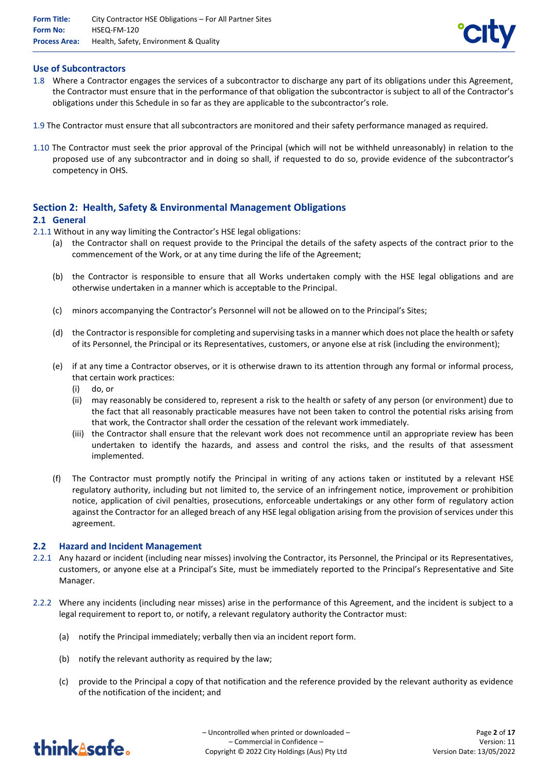

## **Use of Subcontractors**

- 1.8 Where a Contractor engages the services of a subcontractor to discharge any part of its obligations under this Agreement, the Contractor must ensure that in the performance of that obligation the subcontractor is subject to all of the Contractor's obligations under this Schedule in so far as they are applicable to the subcontractor's role.
- 1.9 The Contractor must ensure that all subcontractors are monitored and their safety performance managed as required.
- 1.10 The Contractor must seek the prior approval of the Principal (which will not be withheld unreasonably) in relation to the proposed use of any subcontractor and in doing so shall, if requested to do so, provide evidence of the subcontractor's competency in OHS.

## **Section 2: Health, Safety & Environmental Management Obligations**

## **2.1 General**

- 2.1.1 Without in any way limiting the Contractor's HSE legal obligations:
	- (a) the Contractor shall on request provide to the Principal the details of the safety aspects of the contract prior to the commencement of the Work, or at any time during the life of the Agreement;
	- (b) the Contractor is responsible to ensure that all Works undertaken comply with the HSE legal obligations and are otherwise undertaken in a manner which is acceptable to the Principal.
	- (c) minors accompanying the Contractor's Personnel will not be allowed on to the Principal's Sites;
	- (d) the Contractor is responsible for completing and supervising tasks in a manner which does not place the health or safety of its Personnel, the Principal or its Representatives, customers, or anyone else at risk (including the environment);
	- (e) if at any time a Contractor observes, or it is otherwise drawn to its attention through any formal or informal process, that certain work practices:
		- (i) do, or
		- (ii) may reasonably be considered to, represent a risk to the health or safety of any person (or environment) due to the fact that all reasonably practicable measures have not been taken to control the potential risks arising from that work, the Contractor shall order the cessation of the relevant work immediately.
		- (iii) the Contractor shall ensure that the relevant work does not recommence until an appropriate review has been undertaken to identify the hazards, and assess and control the risks, and the results of that assessment implemented.
	- (f) The Contractor must promptly notify the Principal in writing of any actions taken or instituted by a relevant HSE regulatory authority, including but not limited to, the service of an infringement notice, improvement or prohibition notice, application of civil penalties, prosecutions, enforceable undertakings or any other form of regulatory action against the Contractor for an alleged breach of any HSE legal obligation arising from the provision of services under this agreement.

#### **2.2 Hazard and Incident Management**

- 2.2.1 Any hazard or incident (including near misses) involving the Contractor, its Personnel, the Principal or its Representatives, customers, or anyone else at a Principal's Site, must be immediately reported to the Principal's Representative and Site Manager.
- 2.2.2 Where any incidents (including near misses) arise in the performance of this Agreement, and the incident is subject to a legal requirement to report to, or notify, a relevant regulatory authority the Contractor must:
	- (a) notify the Principal immediately; verbally then via an incident report form.
	- (b) notify the relevant authority as required by the law;
	- (c) provide to the Principal a copy of that notification and the reference provided by the relevant authority as evidence of the notification of the incident; and

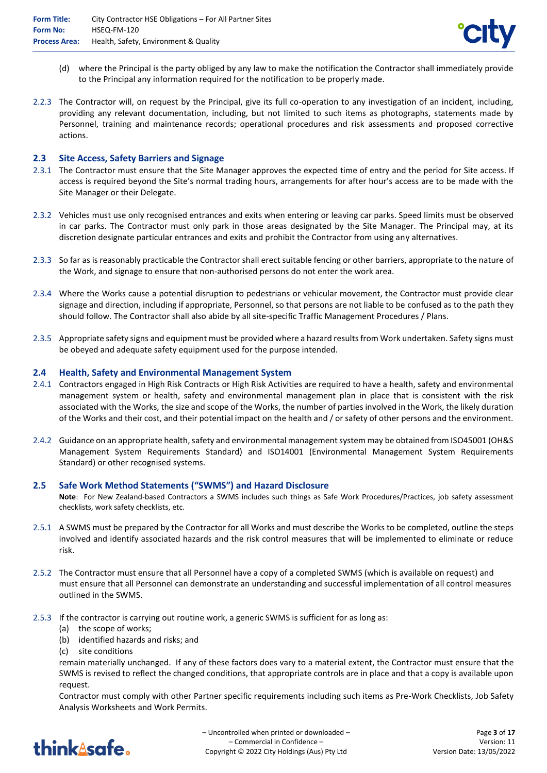

- (d) where the Principal is the party obliged by any law to make the notification the Contractor shall immediately provide to the Principal any information required for the notification to be properly made.
- 2.2.3 The Contractor will, on request by the Principal, give its full co-operation to any investigation of an incident, including, providing any relevant documentation, including, but not limited to such items as photographs, statements made by Personnel, training and maintenance records; operational procedures and risk assessments and proposed corrective actions.

## **2.3 Site Access, Safety Barriers and Signage**

- 2.3.1 The Contractor must ensure that the Site Manager approves the expected time of entry and the period for Site access. If access is required beyond the Site's normal trading hours, arrangements for after hour's access are to be made with the Site Manager or their Delegate.
- 2.3.2 Vehicles must use only recognised entrances and exits when entering or leaving car parks. Speed limits must be observed in car parks. The Contractor must only park in those areas designated by the Site Manager. The Principal may, at its discretion designate particular entrances and exits and prohibit the Contractor from using any alternatives.
- 2.3.3 So far as is reasonably practicable the Contractor shall erect suitable fencing or other barriers, appropriate to the nature of the Work, and signage to ensure that non-authorised persons do not enter the work area.
- 2.3.4 Where the Works cause a potential disruption to pedestrians or vehicular movement, the Contractor must provide clear signage and direction, including if appropriate, Personnel, so that persons are not liable to be confused as to the path they should follow. The Contractor shall also abide by all site-specific Traffic Management Procedures / Plans.
- 2.3.5 Appropriate safety signs and equipment must be provided where a hazard results from Work undertaken. Safety signs must be obeyed and adequate safety equipment used for the purpose intended.

#### **2.4 Health, Safety and Environmental Management System**

- 2.4.1 Contractors engaged in High Risk Contracts or High Risk Activities are required to have a health, safety and environmental management system or health, safety and environmental management plan in place that is consistent with the risk associated with the Works, the size and scope of the Works, the number of parties involved in the Work, the likely duration of the Works and their cost, and their potential impact on the health and / or safety of other persons and the environment.
- 2.4.2 Guidance on an appropriate health, safety and environmental management system may be obtained from ISO45001 (OH&S Management System Requirements Standard) and ISO14001 (Environmental Management System Requirements Standard) or other recognised systems.

#### **2.5 Safe Work Method Statements ("SWMS") and Hazard Disclosure**

**Note**: For New Zealand-based Contractors a SWMS includes such things as Safe Work Procedures/Practices, job safety assessment checklists, work safety checklists, etc.

- 2.5.1 A SWMS must be prepared by the Contractor for all Works and must describe the Works to be completed, outline the steps involved and identify associated hazards and the risk control measures that will be implemented to eliminate or reduce risk.
- 2.5.2 The Contractor must ensure that all Personnel have a copy of a completed SWMS (which is available on request) and must ensure that all Personnel can demonstrate an understanding and successful implementation of all control measures outlined in the SWMS.
- 2.5.3 If the contractor is carrying out routine work, a generic SWMS is sufficient for as long as:
	- (a) the scope of works;
	- (b) identified hazards and risks; and
	- (c) site conditions

remain materially unchanged. If any of these factors does vary to a material extent, the Contractor must ensure that the SWMS is revised to reflect the changed conditions, that appropriate controls are in place and that a copy is available upon request.

Contractor must comply with other Partner specific requirements including such items as Pre-Work Checklists, Job Safety Analysis Worksheets and Work Permits.

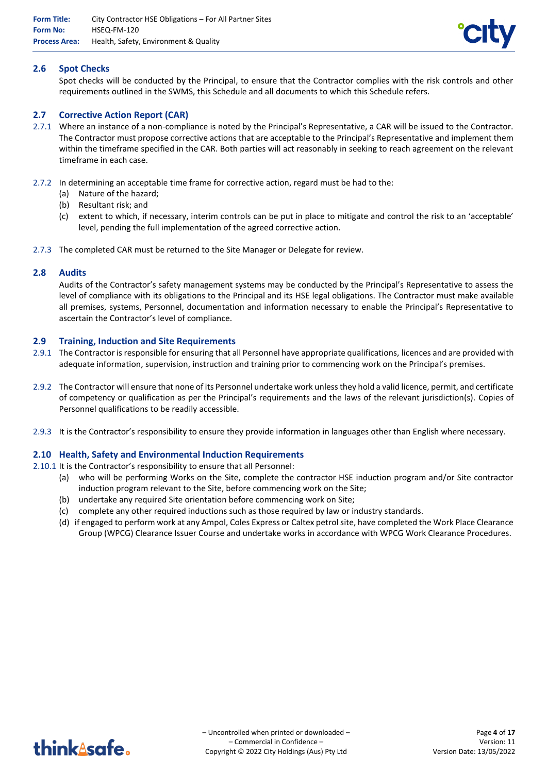

## **2.6 Spot Checks**

Spot checks will be conducted by the Principal, to ensure that the Contractor complies with the risk controls and other requirements outlined in the SWMS, this Schedule and all documents to which this Schedule refers.

## **2.7 Corrective Action Report (CAR)**

- 2.7.1 Where an instance of a non-compliance is noted by the Principal's Representative, a CAR will be issued to the Contractor. The Contractor must propose corrective actions that are acceptable to the Principal's Representative and implement them within the timeframe specified in the CAR. Both parties will act reasonably in seeking to reach agreement on the relevant timeframe in each case.
- 2.7.2 In determining an acceptable time frame for corrective action, regard must be had to the:
	- (a) Nature of the hazard;
	- (b) Resultant risk; and
	- (c) extent to which, if necessary, interim controls can be put in place to mitigate and control the risk to an 'acceptable' level, pending the full implementation of the agreed corrective action.
- 2.7.3 The completed CAR must be returned to the Site Manager or Delegate for review.

#### **2.8 Audits**

Audits of the Contractor's safety management systems may be conducted by the Principal's Representative to assess the level of compliance with its obligations to the Principal and its HSE legal obligations. The Contractor must make available all premises, systems, Personnel, documentation and information necessary to enable the Principal's Representative to ascertain the Contractor's level of compliance.

#### **2.9 Training, Induction and Site Requirements**

- 2.9.1 The Contractor is responsible for ensuring that all Personnel have appropriate qualifications, licences and are provided with adequate information, supervision, instruction and training prior to commencing work on the Principal's premises.
- 2.9.2 The Contractor will ensure that none of its Personnel undertake work unless they hold a valid licence, permit, and certificate of competency or qualification as per the Principal's requirements and the laws of the relevant jurisdiction(s). Copies of Personnel qualifications to be readily accessible.
- 2.9.3 It is the Contractor's responsibility to ensure they provide information in languages other than English where necessary.

#### **2.10 Health, Safety and Environmental Induction Requirements**

2.10.1 It is the Contractor's responsibility to ensure that all Personnel:

- (a) who will be performing Works on the Site, complete the contractor HSE induction program and/or Site contractor induction program relevant to the Site, before commencing work on the Site;
- (b) undertake any required Site orientation before commencing work on Site;
- (c) complete any other required inductions such as those required by law or industry standards.
- (d) if engaged to perform work at any Ampol, Coles Express or Caltex petrol site, have completed the Work Place Clearance Group (WPCG) Clearance Issuer Course and undertake works in accordance with WPCG Work Clearance Procedures.

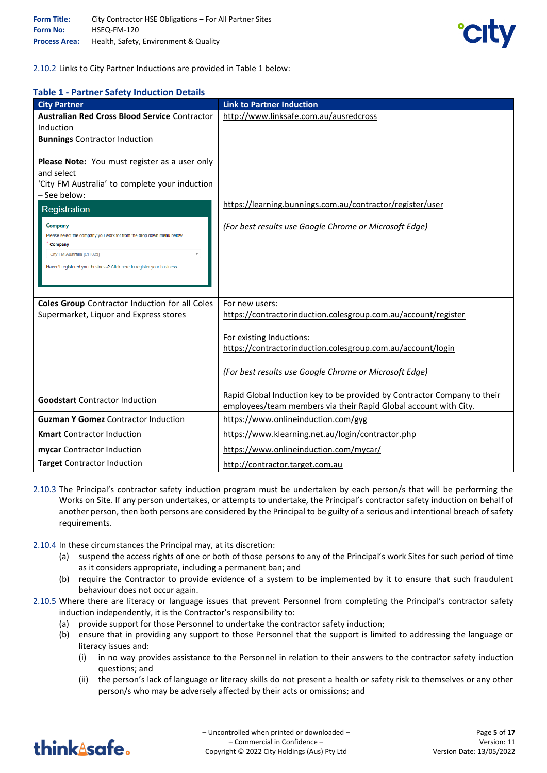

2.10.2 Links to City Partner Inductions are provided in Table 1 below:

## **Table 1 - Partner Safety Induction Details**

| <b>City Partner</b>                                                                                                                                                                                                                                                                                                                                                             | <b>Link to Partner Induction</b>                                                                                                             |
|---------------------------------------------------------------------------------------------------------------------------------------------------------------------------------------------------------------------------------------------------------------------------------------------------------------------------------------------------------------------------------|----------------------------------------------------------------------------------------------------------------------------------------------|
| <b>Australian Red Cross Blood Service Contractor</b>                                                                                                                                                                                                                                                                                                                            | http://www.linksafe.com.au/ausredcross                                                                                                       |
| Induction                                                                                                                                                                                                                                                                                                                                                                       |                                                                                                                                              |
| <b>Bunnings Contractor Induction</b>                                                                                                                                                                                                                                                                                                                                            |                                                                                                                                              |
| Please Note: You must register as a user only<br>and select<br>'City FM Australia' to complete your induction<br>- See below:<br>Registration<br>Company<br>Please select the company you work for from the drop down menu below.<br>Company<br>$\overline{\mathbf{v}}$<br>City FM Australia [CIT023]<br>Haven't registered your business? Click here to register your business | https://learning.bunnings.com.au/contractor/register/user<br>(For best results use Google Chrome or Microsoft Edge)                          |
|                                                                                                                                                                                                                                                                                                                                                                                 |                                                                                                                                              |
| <b>Coles Group</b> Contractor Induction for all Coles                                                                                                                                                                                                                                                                                                                           | For new users:                                                                                                                               |
| Supermarket, Liquor and Express stores                                                                                                                                                                                                                                                                                                                                          | https://contractorinduction.colesgroup.com.au/account/register                                                                               |
|                                                                                                                                                                                                                                                                                                                                                                                 | For existing Inductions:                                                                                                                     |
|                                                                                                                                                                                                                                                                                                                                                                                 | https://contractorinduction.colesgroup.com.au/account/login                                                                                  |
|                                                                                                                                                                                                                                                                                                                                                                                 | (For best results use Google Chrome or Microsoft Edge)                                                                                       |
| <b>Goodstart</b> Contractor Induction                                                                                                                                                                                                                                                                                                                                           | Rapid Global Induction key to be provided by Contractor Company to their<br>employees/team members via their Rapid Global account with City. |
| <b>Guzman Y Gomez</b> Contractor Induction                                                                                                                                                                                                                                                                                                                                      | https://www.onlineinduction.com/gyg                                                                                                          |
| <b>Kmart</b> Contractor Induction                                                                                                                                                                                                                                                                                                                                               | https://www.klearning.net.au/login/contractor.php                                                                                            |
| mycar Contractor Induction                                                                                                                                                                                                                                                                                                                                                      | https://www.onlineinduction.com/mycar/                                                                                                       |
| <b>Target Contractor Induction</b>                                                                                                                                                                                                                                                                                                                                              | http://contractor.target.com.au                                                                                                              |

- 2.10.3 The Principal's contractor safety induction program must be undertaken by each person/s that will be performing the Works on Site. If any person undertakes, or attempts to undertake, the Principal's contractor safety induction on behalf of another person, then both persons are considered by the Principal to be guilty of a serious and intentional breach of safety requirements.
- 2.10.4 In these circumstances the Principal may, at its discretion:
	- (a) suspend the access rights of one or both of those persons to any of the Principal's work Sites for such period of time as it considers appropriate, including a permanent ban; and
	- (b) require the Contractor to provide evidence of a system to be implemented by it to ensure that such fraudulent behaviour does not occur again.
- 2.10.5 Where there are literacy or language issues that prevent Personnel from completing the Principal's contractor safety induction independently, it is the Contractor's responsibility to:
	- (a) provide support for those Personnel to undertake the contractor safety induction;
	- (b) ensure that in providing any support to those Personnel that the support is limited to addressing the language or literacy issues and:
		- (i) in no way provides assistance to the Personnel in relation to their answers to the contractor safety induction questions; and
		- (ii) the person's lack of language or literacy skills do not present a health or safety risk to themselves or any other person/s who may be adversely affected by their acts or omissions; and

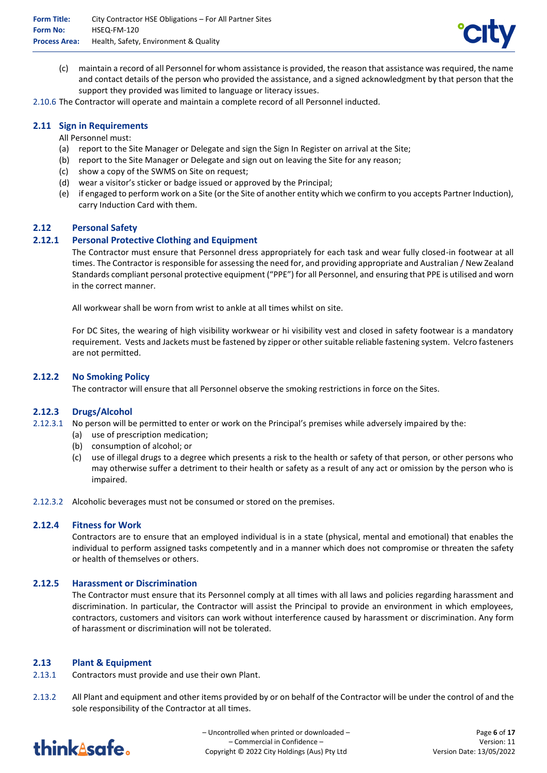

(c) maintain a record of all Personnel for whom assistance is provided, the reason that assistance was required, the name and contact details of the person who provided the assistance, and a signed acknowledgment by that person that the support they provided was limited to language or literacy issues.

2.10.6 The Contractor will operate and maintain a complete record of all Personnel inducted.

### **2.11 Sign in Requirements**

All Personnel must:

- (a) report to the Site Manager or Delegate and sign the Sign In Register on arrival at the Site;
- (b) report to the Site Manager or Delegate and sign out on leaving the Site for any reason;
- (c) show a copy of the SWMS on Site on request;
- (d) wear a visitor's sticker or badge issued or approved by the Principal;
- (e) if engaged to perform work on a Site (or the Site of another entity which we confirm to you accepts Partner Induction), carry Induction Card with them.

#### **2.12 Personal Safety**

## **2.12.1 Personal Protective Clothing and Equipment**

The Contractor must ensure that Personnel dress appropriately for each task and wear fully closed-in footwear at all times. The Contractor is responsible for assessing the need for, and providing appropriate and Australian / New Zealand Standards compliant personal protective equipment ("PPE") for all Personnel, and ensuring that PPE is utilised and worn in the correct manner.

All workwear shall be worn from wrist to ankle at all times whilst on site.

For DC Sites, the wearing of high visibility workwear or hi visibility vest and closed in safety footwear is a mandatory requirement. Vests and Jackets must be fastened by zipper or other suitable reliable fastening system. Velcro fasteners are not permitted.

#### **2.12.2 No Smoking Policy**

The contractor will ensure that all Personnel observe the smoking restrictions in force on the Sites.

#### **2.12.3 Drugs/Alcohol**

- 2.12.3.1 No person will be permitted to enter or work on the Principal's premises while adversely impaired by the:
	- (a) use of prescription medication;
	- (b) consumption of alcohol; or
	- (c) use of illegal drugs to a degree which presents a risk to the health or safety of that person, or other persons who may otherwise suffer a detriment to their health or safety as a result of any act or omission by the person who is impaired.
- 2.12.3.2 Alcoholic beverages must not be consumed or stored on the premises.

#### **2.12.4 Fitness for Work**

Contractors are to ensure that an employed individual is in a state (physical, mental and emotional) that enables the individual to perform assigned tasks competently and in a manner which does not compromise or threaten the safety or health of themselves or others.

#### **2.12.5 Harassment or Discrimination**

The Contractor must ensure that its Personnel comply at all times with all laws and policies regarding harassment and discrimination. In particular, the Contractor will assist the Principal to provide an environment in which employees, contractors, customers and visitors can work without interference caused by harassment or discrimination. Any form of harassment or discrimination will not be tolerated.

#### **2.13 Plant & Equipment**

- 2.13.1 Contractors must provide and use their own Plant.
- 2.13.2 All Plant and equipment and other items provided by or on behalf of the Contractor will be under the control of and the sole responsibility of the Contractor at all times.

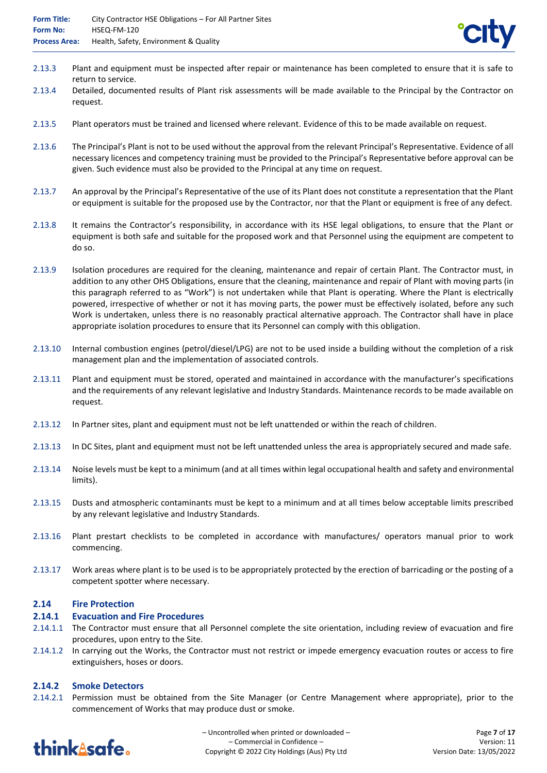- 2.13.3 Plant and equipment must be inspected after repair or maintenance has been completed to ensure that it is safe to return to service.
- 2.13.4 Detailed, documented results of Plant risk assessments will be made available to the Principal by the Contractor on request.
- 2.13.5 Plant operators must be trained and licensed where relevant. Evidence of this to be made available on request.
- 2.13.6 The Principal's Plant is not to be used without the approval from the relevant Principal's Representative. Evidence of all necessary licences and competency training must be provided to the Principal's Representative before approval can be given. Such evidence must also be provided to the Principal at any time on request.
- 2.13.7 An approval by the Principal's Representative of the use of its Plant does not constitute a representation that the Plant or equipment is suitable for the proposed use by the Contractor, nor that the Plant or equipment is free of any defect.
- 2.13.8 It remains the Contractor's responsibility, in accordance with its HSE legal obligations, to ensure that the Plant or equipment is both safe and suitable for the proposed work and that Personnel using the equipment are competent to do so.
- 2.13.9 Isolation procedures are required for the cleaning, maintenance and repair of certain Plant. The Contractor must, in addition to any other OHS Obligations, ensure that the cleaning, maintenance and repair of Plant with moving parts (in this paragraph referred to as "Work") is not undertaken while that Plant is operating. Where the Plant is electrically powered, irrespective of whether or not it has moving parts, the power must be effectively isolated, before any such Work is undertaken, unless there is no reasonably practical alternative approach. The Contractor shall have in place appropriate isolation procedures to ensure that its Personnel can comply with this obligation.
- 2.13.10 Internal combustion engines (petrol/diesel/LPG) are not to be used inside a building without the completion of a risk management plan and the implementation of associated controls.
- 2.13.11 Plant and equipment must be stored, operated and maintained in accordance with the manufacturer's specifications and the requirements of any relevant legislative and Industry Standards. Maintenance records to be made available on request.
- 2.13.12 In Partner sites, plant and equipment must not be left unattended or within the reach of children.
- 2.13.13 In DC Sites, plant and equipment must not be left unattended unless the area is appropriately secured and made safe.
- 2.13.14 Noise levels must be kept to a minimum (and at all times within legal occupational health and safety and environmental limits).
- 2.13.15 Dusts and atmospheric contaminants must be kept to a minimum and at all times below acceptable limits prescribed by any relevant legislative and Industry Standards.
- 2.13.16 Plant prestart checklists to be completed in accordance with manufactures/ operators manual prior to work commencing.
- 2.13.17 Work areas where plant is to be used is to be appropriately protected by the erection of barricading or the posting of a competent spotter where necessary.

#### **2.14 Fire Protection**

#### **2.14.1 Evacuation and Fire Procedures**

- 2.14.1.1 The Contractor must ensure that all Personnel complete the site orientation, including review of evacuation and fire procedures, upon entry to the Site.
- 2.14.1.2 In carrying out the Works, the Contractor must not restrict or impede emergency evacuation routes or access to fire extinguishers, hoses or doors.

## **2.14.2 Smoke Detectors**

2.14.2.1 Permission must be obtained from the Site Manager (or Centre Management where appropriate), prior to the commencement of Works that may produce dust or smoke.

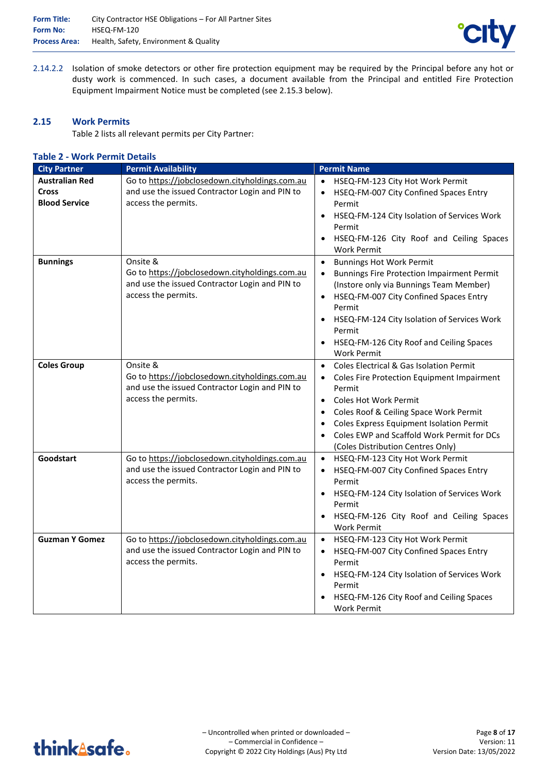

2.14.2.2 Isolation of smoke detectors or other fire protection equipment may be required by the Principal before any hot or dusty work is commenced. In such cases, a document available from the Principal and entitled Fire Protection Equipment Impairment Notice must be completed (see 2.15.3 below).

### **2.15 Work Permits**

Table 2 lists all relevant permits per City Partner:

#### **Table 2 - Work Permit Details**

| <b>City Partner</b>                                           | <b>Permit Availability</b>                                                                                                          | <b>Permit Name</b>                                                                                                                                                                                                                                                                                                                                                      |
|---------------------------------------------------------------|-------------------------------------------------------------------------------------------------------------------------------------|-------------------------------------------------------------------------------------------------------------------------------------------------------------------------------------------------------------------------------------------------------------------------------------------------------------------------------------------------------------------------|
| <b>Australian Red</b><br><b>Cross</b><br><b>Blood Service</b> | Go to https://jobclosedown.cityholdings.com.au<br>and use the issued Contractor Login and PIN to<br>access the permits.             | HSEQ-FM-123 City Hot Work Permit<br>$\bullet$<br>HSEQ-FM-007 City Confined Spaces Entry<br>$\bullet$<br>Permit<br>HSEQ-FM-124 City Isolation of Services Work<br>Permit<br>HSEQ-FM-126 City Roof and Ceiling Spaces<br><b>Work Permit</b>                                                                                                                               |
| <b>Bunnings</b>                                               | Onsite &<br>Go to https://jobclosedown.cityholdings.com.au<br>and use the issued Contractor Login and PIN to<br>access the permits. | <b>Bunnings Hot Work Permit</b><br>$\bullet$<br><b>Bunnings Fire Protection Impairment Permit</b><br>(Instore only via Bunnings Team Member)<br>HSEQ-FM-007 City Confined Spaces Entry<br>$\bullet$<br>Permit<br>HSEQ-FM-124 City Isolation of Services Work<br>Permit<br>HSEQ-FM-126 City Roof and Ceiling Spaces<br><b>Work Permit</b>                                |
| <b>Coles Group</b>                                            | Onsite &<br>Go to https://jobclosedown.cityholdings.com.au<br>and use the issued Contractor Login and PIN to<br>access the permits. | <b>Coles Electrical &amp; Gas Isolation Permit</b><br>$\bullet$<br>Coles Fire Protection Equipment Impairment<br>$\bullet$<br>Permit<br><b>Coles Hot Work Permit</b><br>$\bullet$<br>Coles Roof & Ceiling Space Work Permit<br>$\bullet$<br>Coles Express Equipment Isolation Permit<br>Coles EWP and Scaffold Work Permit for DCs<br>(Coles Distribution Centres Only) |
| Goodstart                                                     | Go to https://jobclosedown.cityholdings.com.au<br>and use the issued Contractor Login and PIN to<br>access the permits.             | HSEQ-FM-123 City Hot Work Permit<br>HSEQ-FM-007 City Confined Spaces Entry<br>$\bullet$<br>Permit<br>HSEQ-FM-124 City Isolation of Services Work<br>$\bullet$<br>Permit<br>HSEQ-FM-126 City Roof and Ceiling Spaces<br><b>Work Permit</b>                                                                                                                               |
| <b>Guzman Y Gomez</b>                                         | Go to https://jobclosedown.cityholdings.com.au<br>and use the issued Contractor Login and PIN to<br>access the permits.             | HSEQ-FM-123 City Hot Work Permit<br>$\bullet$<br>HSEQ-FM-007 City Confined Spaces Entry<br>Permit<br>HSEQ-FM-124 City Isolation of Services Work<br>Permit<br>HSEQ-FM-126 City Roof and Ceiling Spaces<br><b>Work Permit</b>                                                                                                                                            |

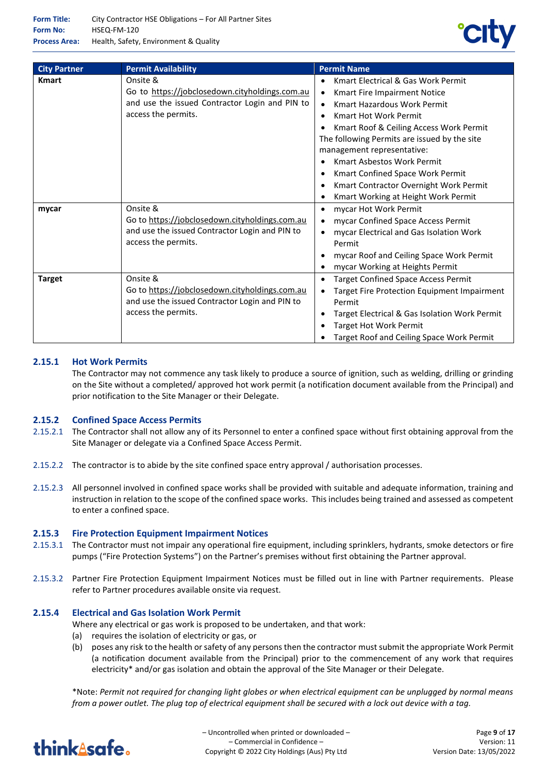

| <b>City Partner</b> | <b>Permit Availability</b>                                                                                                          | <b>Permit Name</b>                                                                                                                                                                                                                                                                                                                                                                                                                                                                                              |
|---------------------|-------------------------------------------------------------------------------------------------------------------------------------|-----------------------------------------------------------------------------------------------------------------------------------------------------------------------------------------------------------------------------------------------------------------------------------------------------------------------------------------------------------------------------------------------------------------------------------------------------------------------------------------------------------------|
| <b>Kmart</b>        | Onsite &<br>Go to https://jobclosedown.cityholdings.com.au<br>and use the issued Contractor Login and PIN to<br>access the permits. | <b>Kmart Electrical &amp; Gas Work Permit</b><br>٠<br>Kmart Fire Impairment Notice<br>$\bullet$<br>Kmart Hazardous Work Permit<br>$\bullet$<br><b>Kmart Hot Work Permit</b><br>$\bullet$<br>Kmart Roof & Ceiling Access Work Permit<br>The following Permits are issued by the site<br>management representative:<br><b>Kmart Asbestos Work Permit</b><br>$\bullet$<br>Kmart Confined Space Work Permit<br>٠<br>Kmart Contractor Overnight Work Permit<br>$\bullet$<br>Kmart Working at Height Work Permit<br>٠ |
| mycar               | Onsite &<br>Go to https://jobclosedown.cityholdings.com.au<br>and use the issued Contractor Login and PIN to<br>access the permits. | mycar Hot Work Permit<br>$\bullet$<br>mycar Confined Space Access Permit<br>mycar Electrical and Gas Isolation Work<br>Permit<br>mycar Roof and Ceiling Space Work Permit<br>mycar Working at Heights Permit<br>٠                                                                                                                                                                                                                                                                                               |
| <b>Target</b>       | Onsite &<br>Go to https://jobclosedown.cityholdings.com.au<br>and use the issued Contractor Login and PIN to<br>access the permits. | <b>Target Confined Space Access Permit</b><br>$\bullet$<br>Target Fire Protection Equipment Impairment<br>$\bullet$<br>Permit<br>Target Electrical & Gas Isolation Work Permit<br>٠<br><b>Target Hot Work Permit</b><br>٠<br>Target Roof and Ceiling Space Work Permit                                                                                                                                                                                                                                          |

## **2.15.1 Hot Work Permits**

The Contractor may not commence any task likely to produce a source of ignition, such as welding, drilling or grinding on the Site without a completed/ approved hot work permit (a notification document available from the Principal) and prior notification to the Site Manager or their Delegate.

#### **2.15.2 Confined Space Access Permits**

- 2.15.2.1 The Contractor shall not allow any of its Personnel to enter a confined space without first obtaining approval from the Site Manager or delegate via a Confined Space Access Permit.
- 2.15.2.2 The contractor is to abide by the site confined space entry approval / authorisation processes.
- 2.15.2.3 All personnel involved in confined space works shall be provided with suitable and adequate information, training and instruction in relation to the scope of the confined space works. This includes being trained and assessed as competent to enter a confined space.

#### **2.15.3 Fire Protection Equipment Impairment Notices**

- 2.15.3.1 The Contractor must not impair any operational fire equipment, including sprinklers, hydrants, smoke detectors or fire pumps ("Fire Protection Systems") on the Partner's premises without first obtaining the Partner approval.
- 2.15.3.2 Partner Fire Protection Equipment Impairment Notices must be filled out in line with Partner requirements. Please refer to Partner procedures available onsite via request.

#### **2.15.4 Electrical and Gas Isolation Work Permit**

- Where any electrical or gas work is proposed to be undertaken, and that work:
- (a) requires the isolation of electricity or gas, or
- (b) poses any risk to the health or safety of any persons then the contractor must submit the appropriate Work Permit (a notification document available from the Principal) prior to the commencement of any work that requires electricity\* and/or gas isolation and obtain the approval of the Site Manager or their Delegate.

\*Note: *Permit not required for changing light globes or when electrical equipment can be unplugged by normal means from a power outlet. The plug top of electrical equipment shall be secured with a lock out device with a tag.*

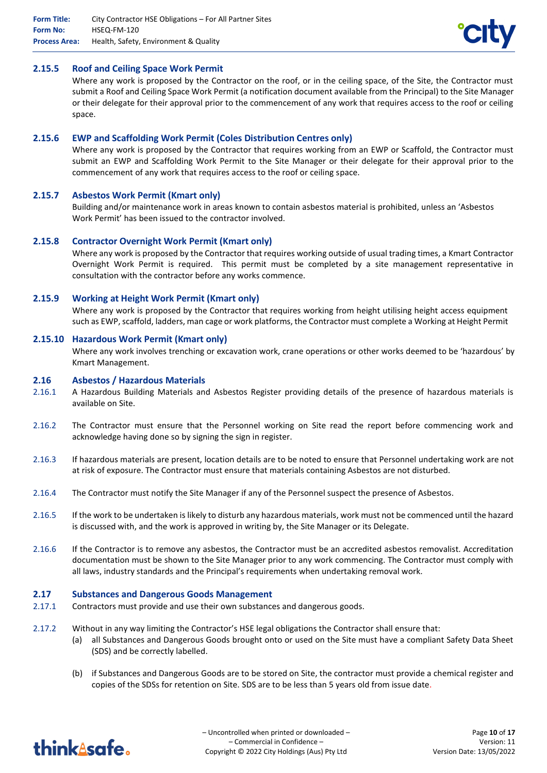

#### **2.15.5 Roof and Ceiling Space Work Permit**

Where any work is proposed by the Contractor on the roof, or in the ceiling space, of the Site, the Contractor must submit a Roof and Ceiling Space Work Permit (a notification document available from the Principal) to the Site Manager or their delegate for their approval prior to the commencement of any work that requires access to the roof or ceiling space.

#### **2.15.6 EWP and Scaffolding Work Permit (Coles Distribution Centres only)**

Where any work is proposed by the Contractor that requires working from an EWP or Scaffold, the Contractor must submit an EWP and Scaffolding Work Permit to the Site Manager or their delegate for their approval prior to the commencement of any work that requires access to the roof or ceiling space.

#### **2.15.7 Asbestos Work Permit (Kmart only)**

Building and/or maintenance work in areas known to contain asbestos material is prohibited, unless an 'Asbestos Work Permit' has been issued to the contractor involved.

#### **2.15.8 Contractor Overnight Work Permit (Kmart only)**

Where any work is proposed by the Contractor that requires working outside of usual trading times, a Kmart Contractor Overnight Work Permit is required. This permit must be completed by a site management representative in consultation with the contractor before any works commence.

#### **2.15.9 Working at Height Work Permit (Kmart only)**

Where any work is proposed by the Contractor that requires working from height utilising height access equipment such as EWP, scaffold, ladders, man cage or work platforms, the Contractor must complete a Working at Height Permit

#### **2.15.10 Hazardous Work Permit (Kmart only)**

Where any work involves trenching or excavation work, crane operations or other works deemed to be 'hazardous' by Kmart Management.

#### **2.16 Asbestos / Hazardous Materials**

- 2.16.1 A Hazardous Building Materials and Asbestos Register providing details of the presence of hazardous materials is available on Site.
- 2.16.2 The Contractor must ensure that the Personnel working on Site read the report before commencing work and acknowledge having done so by signing the sign in register.
- 2.16.3 If hazardous materials are present, location details are to be noted to ensure that Personnel undertaking work are not at risk of exposure. The Contractor must ensure that materials containing Asbestos are not disturbed.
- 2.16.4 The Contractor must notify the Site Manager if any of the Personnel suspect the presence of Asbestos.
- 2.16.5 If the work to be undertaken is likely to disturb any hazardous materials, work must not be commenced until the hazard is discussed with, and the work is approved in writing by, the Site Manager or its Delegate.
- 2.16.6 If the Contractor is to remove any asbestos, the Contractor must be an accredited asbestos removalist. Accreditation documentation must be shown to the Site Manager prior to any work commencing. The Contractor must comply with all laws, industry standards and the Principal's requirements when undertaking removal work.

#### **2.17 Substances and Dangerous Goods Management**

- 2.17.1 Contractors must provide and use their own substances and dangerous goods.
- 2.17.2 Without in any way limiting the Contractor's HSE legal obligations the Contractor shall ensure that:
	- (a) all Substances and Dangerous Goods brought onto or used on the Site must have a compliant Safety Data Sheet (SDS) and be correctly labelled.
	- (b) if Substances and Dangerous Goods are to be stored on Site, the contractor must provide a chemical register and copies of the SDSs for retention on Site. SDS are to be less than 5 years old from issue date.

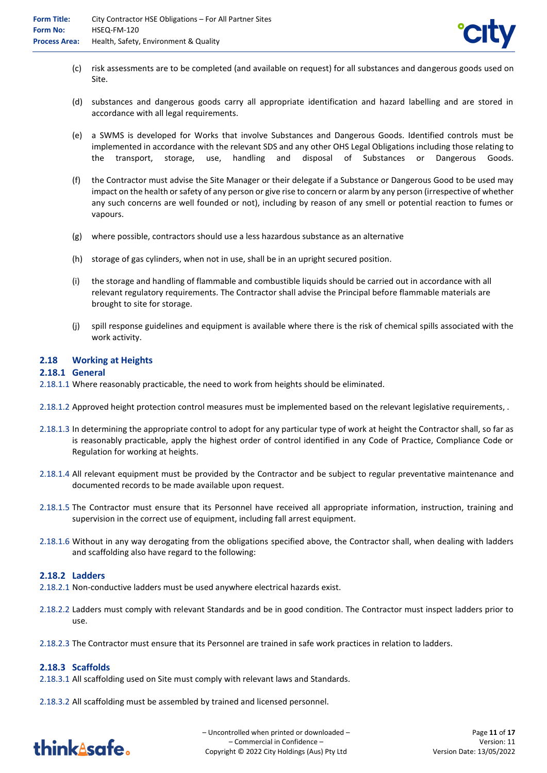

- (c) risk assessments are to be completed (and available on request) for all substances and dangerous goods used on Site.
- (d) substances and dangerous goods carry all appropriate identification and hazard labelling and are stored in accordance with all legal requirements.
- (e) a SWMS is developed for Works that involve Substances and Dangerous Goods. Identified controls must be implemented in accordance with the relevant SDS and any other OHS Legal Obligations including those relating to the transport, storage, use, handling and disposal of Substances or Dangerous Goods.
- (f) the Contractor must advise the Site Manager or their delegate if a Substance or Dangerous Good to be used may impact on the health or safety of any person or give rise to concern or alarm by any person (irrespective of whether any such concerns are well founded or not), including by reason of any smell or potential reaction to fumes or vapours.
- (g) where possible, contractors should use a less hazardous substance as an alternative
- (h) storage of gas cylinders, when not in use, shall be in an upright secured position.
- (i) the storage and handling of flammable and combustible liquids should be carried out in accordance with all relevant regulatory requirements. The Contractor shall advise the Principal before flammable materials are brought to site for storage.
- (j) spill response guidelines and equipment is available where there is the risk of chemical spills associated with the work activity.

#### **2.18 Working at Heights**

#### **2.18.1 General**

- 2.18.1.1 Where reasonably practicable, the need to work from heights should be eliminated.
- 2.18.1.2 Approved height protection control measures must be implemented based on the relevant legislative requirements, .
- 2.18.1.3 In determining the appropriate control to adopt for any particular type of work at height the Contractor shall, so far as is reasonably practicable, apply the highest order of control identified in any Code of Practice, Compliance Code or Regulation for working at heights.
- 2.18.1.4 All relevant equipment must be provided by the Contractor and be subject to regular preventative maintenance and documented records to be made available upon request.
- 2.18.1.5 The Contractor must ensure that its Personnel have received all appropriate information, instruction, training and supervision in the correct use of equipment, including fall arrest equipment.
- 2.18.1.6 Without in any way derogating from the obligations specified above, the Contractor shall, when dealing with ladders and scaffolding also have regard to the following:

#### **2.18.2 Ladders**

- 2.18.2.1 Non-conductive ladders must be used anywhere electrical hazards exist.
- 2.18.2.2 Ladders must comply with relevant Standards and be in good condition. The Contractor must inspect ladders prior to use.
- 2.18.2.3 The Contractor must ensure that its Personnel are trained in safe work practices in relation to ladders.

#### **2.18.3 Scaffolds**

- 2.18.3.1 All scaffolding used on Site must comply with relevant laws and Standards.
- 2.18.3.2 All scaffolding must be assembled by trained and licensed personnel.

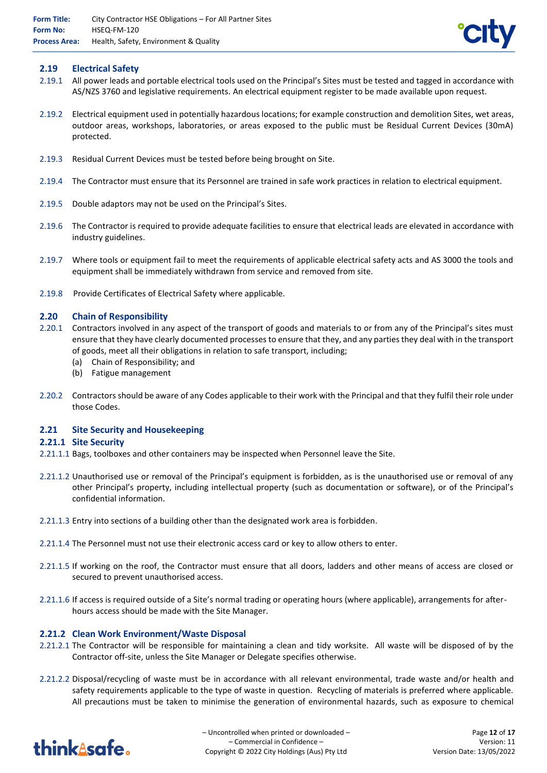## **2.19 Electrical Safety**

- 2.19.1 All power leads and portable electrical tools used on the Principal's Sites must be tested and tagged in accordance with AS/NZS 3760 and legislative requirements. An electrical equipment register to be made available upon request.
- 2.19.2 Electrical equipment used in potentially hazardous locations; for example construction and demolition Sites, wet areas, outdoor areas, workshops, laboratories, or areas exposed to the public must be Residual Current Devices (30mA) protected.
- 2.19.3 Residual Current Devices must be tested before being brought on Site.
- 2.19.4 The Contractor must ensure that its Personnel are trained in safe work practices in relation to electrical equipment.
- 2.19.5 Double adaptors may not be used on the Principal's Sites.
- 2.19.6 The Contractor is required to provide adequate facilities to ensure that electrical leads are elevated in accordance with industry guidelines.
- 2.19.7 Where tools or equipment fail to meet the requirements of applicable electrical safety acts and AS 3000 the tools and equipment shall be immediately withdrawn from service and removed from site.
- 2.19.8 Provide Certificates of Electrical Safety where applicable.

#### **2.20 Chain of Responsibility**

- 2.20.1 Contractors involved in any aspect of the transport of goods and materials to or from any of the Principal's sites must ensure that they have clearly documented processes to ensure that they, and any parties they deal with in the transport of goods, meet all their obligations in relation to safe transport, including;
	- (a) Chain of Responsibility; and
	- (b) Fatigue management
- 2.20.2 Contractors should be aware of any Codes applicable to their work with the Principal and that they fulfil their role under those Codes.

#### **2.21 Site Security and Housekeeping**

#### **2.21.1 Site Security**

- 2.21.1.1 Bags, toolboxes and other containers may be inspected when Personnel leave the Site.
- 2.21.1.2 Unauthorised use or removal of the Principal's equipment is forbidden, as is the unauthorised use or removal of any other Principal's property, including intellectual property (such as documentation or software), or of the Principal's confidential information.
- 2.21.1.3 Entry into sections of a building other than the designated work area is forbidden.
- 2.21.1.4 The Personnel must not use their electronic access card or key to allow others to enter.
- 2.21.1.5 If working on the roof, the Contractor must ensure that all doors, ladders and other means of access are closed or secured to prevent unauthorised access.
- 2.21.1.6 If access is required outside of a Site's normal trading or operating hours (where applicable), arrangements for afterhours access should be made with the Site Manager.

#### **2.21.2 Clean Work Environment/Waste Disposal**

- 2.21.2.1 The Contractor will be responsible for maintaining a clean and tidy worksite. All waste will be disposed of by the Contractor off-site, unless the Site Manager or Delegate specifies otherwise.
- 2.21.2.2 Disposal/recycling of waste must be in accordance with all relevant environmental, trade waste and/or health and safety requirements applicable to the type of waste in question. Recycling of materials is preferred where applicable. All precautions must be taken to minimise the generation of environmental hazards, such as exposure to chemical

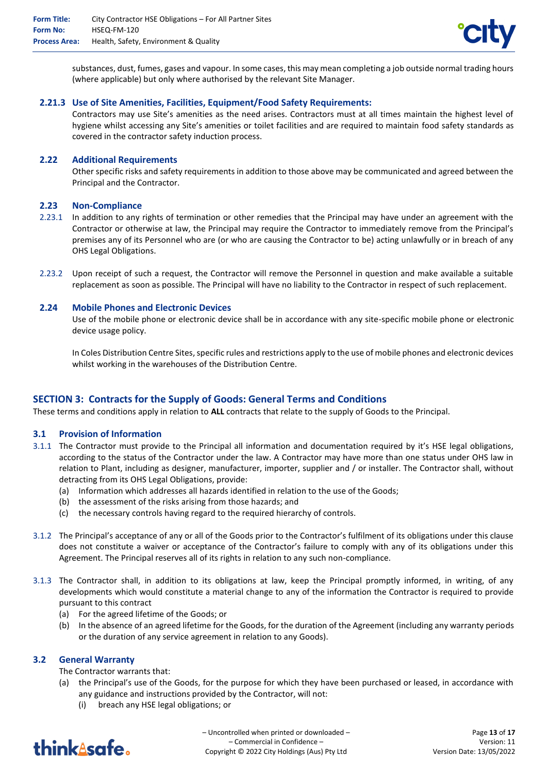

substances, dust, fumes, gases and vapour. In some cases, this may mean completing a job outside normal trading hours (where applicable) but only where authorised by the relevant Site Manager.

## **2.21.3 Use of Site Amenities, Facilities, Equipment/Food Safety Requirements:**

Contractors may use Site's amenities as the need arises. Contractors must at all times maintain the highest level of hygiene whilst accessing any Site's amenities or toilet facilities and are required to maintain food safety standards as covered in the contractor safety induction process.

### **2.22 Additional Requirements**

Other specific risks and safety requirements in addition to those above may be communicated and agreed between the Principal and the Contractor.

#### **2.23 Non-Compliance**

- 2.23.1 In addition to any rights of termination or other remedies that the Principal may have under an agreement with the Contractor or otherwise at law, the Principal may require the Contractor to immediately remove from the Principal's premises any of its Personnel who are (or who are causing the Contractor to be) acting unlawfully or in breach of any OHS Legal Obligations.
- 2.23.2 Upon receipt of such a request, the Contractor will remove the Personnel in question and make available a suitable replacement as soon as possible. The Principal will have no liability to the Contractor in respect of such replacement.

#### **2.24 Mobile Phones and Electronic Devices**

Use of the mobile phone or electronic device shall be in accordance with any site-specific mobile phone or electronic device usage policy.

In Coles Distribution Centre Sites, specific rules and restrictions apply to the use of mobile phones and electronic devices whilst working in the warehouses of the Distribution Centre.

## **SECTION 3: Contracts for the Supply of Goods: General Terms and Conditions**

These terms and conditions apply in relation to **ALL** contracts that relate to the supply of Goods to the Principal.

#### **3.1 Provision of Information**

- 3.1.1 The Contractor must provide to the Principal all information and documentation required by it's HSE legal obligations, according to the status of the Contractor under the law. A Contractor may have more than one status under OHS law in relation to Plant, including as designer, manufacturer, importer, supplier and / or installer. The Contractor shall, without detracting from its OHS Legal Obligations, provide:
	- (a) Information which addresses all hazards identified in relation to the use of the Goods;
	- (b) the assessment of the risks arising from those hazards; and
	- (c) the necessary controls having regard to the required hierarchy of controls.
- 3.1.2 The Principal's acceptance of any or all of the Goods prior to the Contractor's fulfilment of its obligations under this clause does not constitute a waiver or acceptance of the Contractor's failure to comply with any of its obligations under this Agreement. The Principal reserves all of its rights in relation to any such non-compliance.
- 3.1.3 The Contractor shall, in addition to its obligations at law, keep the Principal promptly informed, in writing, of any developments which would constitute a material change to any of the information the Contractor is required to provide pursuant to this contract
	- (a) For the agreed lifetime of the Goods; or
	- (b) In the absence of an agreed lifetime for the Goods, for the duration of the Agreement (including any warranty periods or the duration of any service agreement in relation to any Goods).

### **3.2 General Warranty**

The Contractor warrants that:

- (a) the Principal's use of the Goods, for the purpose for which they have been purchased or leased, in accordance with any guidance and instructions provided by the Contractor, will not:
	- (i) breach any HSE legal obligations; or

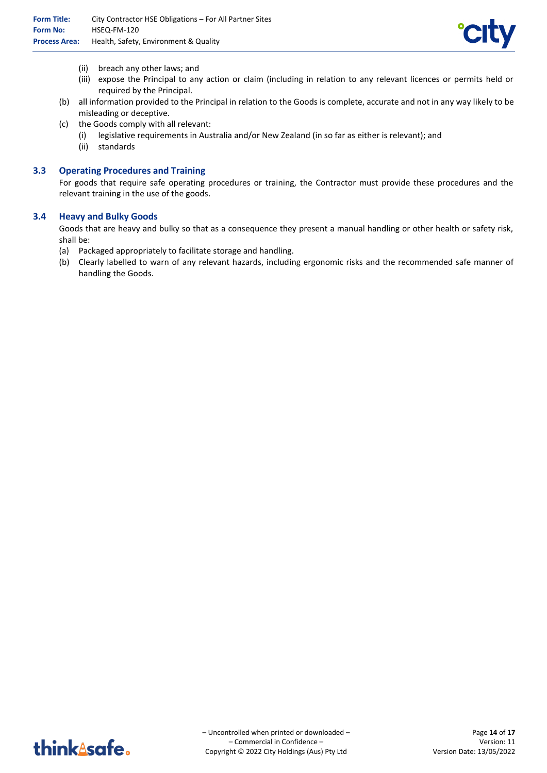

- (ii) breach any other laws; and
- (iii) expose the Principal to any action or claim (including in relation to any relevant licences or permits held or required by the Principal.
- (b) all information provided to the Principal in relation to the Goods is complete, accurate and not in any way likely to be misleading or deceptive.
- (c) the Goods comply with all relevant:
	- (i) legislative requirements in Australia and/or New Zealand (in so far as either is relevant); and
	- (ii) standards

#### **3.3 Operating Procedures and Training**

For goods that require safe operating procedures or training, the Contractor must provide these procedures and the relevant training in the use of the goods.

#### **3.4 Heavy and Bulky Goods**

Goods that are heavy and bulky so that as a consequence they present a manual handling or other health or safety risk, shall be:

- (a) Packaged appropriately to facilitate storage and handling.
- (b) Clearly labelled to warn of any relevant hazards, including ergonomic risks and the recommended safe manner of handling the Goods.

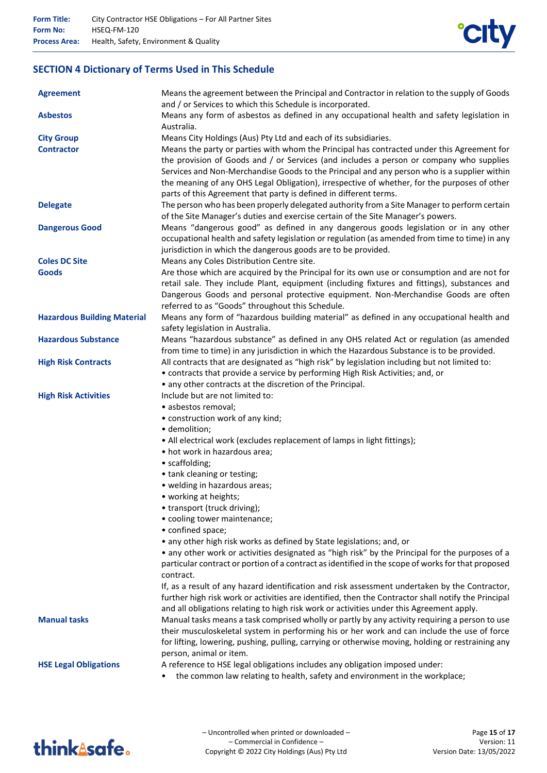

## **SECTION 4 Dictionary of Terms Used in This Schedule**

| <b>Agreement</b>                   | Means the agreement between the Principal and Contractor in relation to the supply of Goods<br>and / or Services to which this Schedule is incorporated. |
|------------------------------------|----------------------------------------------------------------------------------------------------------------------------------------------------------|
| <b>Asbestos</b>                    | Means any form of asbestos as defined in any occupational health and safety legislation in<br>Australia.                                                 |
| <b>City Group</b>                  | Means City Holdings (Aus) Pty Ltd and each of its subsidiaries.                                                                                          |
| <b>Contractor</b>                  | Means the party or parties with whom the Principal has contracted under this Agreement for                                                               |
|                                    | the provision of Goods and / or Services (and includes a person or company who supplies                                                                  |
|                                    | Services and Non-Merchandise Goods to the Principal and any person who is a supplier within                                                              |
|                                    | the meaning of any OHS Legal Obligation), irrespective of whether, for the purposes of other                                                             |
|                                    | parts of this Agreement that party is defined in different terms.                                                                                        |
| <b>Delegate</b>                    | The person who has been properly delegated authority from a Site Manager to perform certain                                                              |
|                                    | of the Site Manager's duties and exercise certain of the Site Manager's powers.                                                                          |
| <b>Dangerous Good</b>              | Means "dangerous good" as defined in any dangerous goods legislation or in any other                                                                     |
|                                    | occupational health and safety legislation or regulation (as amended from time to time) in any                                                           |
|                                    | jurisdiction in which the dangerous goods are to be provided.                                                                                            |
| <b>Coles DC Site</b>               | Means any Coles Distribution Centre site.                                                                                                                |
| <b>Goods</b>                       | Are those which are acquired by the Principal for its own use or consumption and are not for                                                             |
|                                    | retail sale. They include Plant, equipment (including fixtures and fittings), substances and                                                             |
|                                    | Dangerous Goods and personal protective equipment. Non-Merchandise Goods are often                                                                       |
|                                    | referred to as "Goods" throughout this Schedule.                                                                                                         |
| <b>Hazardous Building Material</b> | Means any form of "hazardous building material" as defined in any occupational health and                                                                |
|                                    | safety legislation in Australia.                                                                                                                         |
| <b>Hazardous Substance</b>         | Means "hazardous substance" as defined in any OHS related Act or regulation (as amended                                                                  |
|                                    | from time to time) in any jurisdiction in which the Hazardous Substance is to be provided.                                                               |
| <b>High Risk Contracts</b>         | All contracts that are designated as "high risk" by legislation including but not limited to:                                                            |
|                                    | • contracts that provide a service by performing High Risk Activities; and, or                                                                           |
|                                    | • any other contracts at the discretion of the Principal.                                                                                                |
| <b>High Risk Activities</b>        | Include but are not limited to:                                                                                                                          |
|                                    | · asbestos removal;                                                                                                                                      |
|                                    | • construction work of any kind;                                                                                                                         |
|                                    | · demolition;                                                                                                                                            |
|                                    | • All electrical work (excludes replacement of lamps in light fittings);                                                                                 |
|                                    | • hot work in hazardous area;                                                                                                                            |
|                                    | • scaffolding;                                                                                                                                           |
|                                    | • tank cleaning or testing;<br>• welding in hazardous areas;                                                                                             |
|                                    | • working at heights;                                                                                                                                    |
|                                    | • transport (truck driving);                                                                                                                             |
|                                    | • cooling tower maintenance;                                                                                                                             |
|                                    | • confined space;                                                                                                                                        |
|                                    | • any other high risk works as defined by State legislations; and, or                                                                                    |
|                                    | • any other work or activities designated as "high risk" by the Principal for the purposes of a                                                          |
|                                    | particular contract or portion of a contract as identified in the scope of works for that proposed                                                       |
|                                    | contract.                                                                                                                                                |
|                                    | If, as a result of any hazard identification and risk assessment undertaken by the Contractor,                                                           |
|                                    | further high risk work or activities are identified, then the Contractor shall notify the Principal                                                      |
|                                    | and all obligations relating to high risk work or activities under this Agreement apply.                                                                 |
| <b>Manual tasks</b>                | Manual tasks means a task comprised wholly or partly by any activity requiring a person to use                                                           |
|                                    | their musculoskeletal system in performing his or her work and can include the use of force                                                              |
|                                    | for lifting, lowering, pushing, pulling, carrying or otherwise moving, holding or restraining any                                                        |
|                                    | person, animal or item.                                                                                                                                  |
| <b>HSE Legal Obligations</b>       | A reference to HSE legal obligations includes any obligation imposed under:                                                                              |
|                                    | the common law relating to health, safety and environment in the workplace;                                                                              |
|                                    |                                                                                                                                                          |

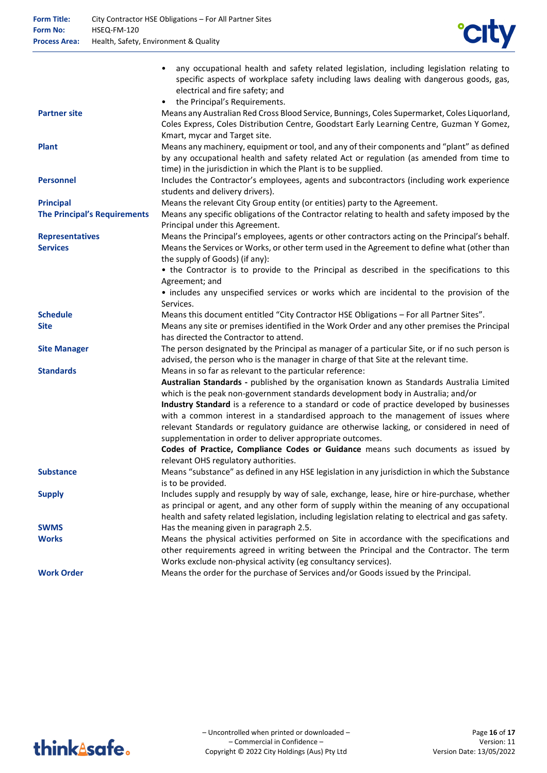

| <b>Partner site</b><br>Means any Australian Red Cross Blood Service, Bunnings, Coles Supermarket, Coles Liquorland,<br>Coles Express, Coles Distribution Centre, Goodstart Early Learning Centre, Guzman Y Gomez,<br>Kmart, mycar and Target site.<br><b>Plant</b><br>Means any machinery, equipment or tool, and any of their components and "plant" as defined<br>by any occupational health and safety related Act or regulation (as amended from time to<br>time) in the jurisdiction in which the Plant is to be supplied.<br><b>Personnel</b><br>Includes the Contractor's employees, agents and subcontractors (including work experience<br>students and delivery drivers).<br>Means the relevant City Group entity (or entities) party to the Agreement.<br><b>Principal</b><br><b>The Principal's Requirements</b><br>Means any specific obligations of the Contractor relating to health and safety imposed by the<br>Principal under this Agreement.<br>Means the Principal's employees, agents or other contractors acting on the Principal's behalf.<br><b>Representatives</b><br><b>Services</b><br>Means the Services or Works, or other term used in the Agreement to define what (other than<br>the supply of Goods) (if any):<br>• the Contractor is to provide to the Principal as described in the specifications to this<br>Agreement; and<br>• includes any unspecified services or works which are incidental to the provision of the<br>Services.<br><b>Schedule</b><br>Means this document entitled "City Contractor HSE Obligations - For all Partner Sites".<br>Means any site or premises identified in the Work Order and any other premises the Principal<br><b>Site</b><br>has directed the Contractor to attend.<br>The person designated by the Principal as manager of a particular Site, or if no such person is<br><b>Site Manager</b><br>advised, the person who is the manager in charge of that Site at the relevant time.<br><b>Standards</b><br>Means in so far as relevant to the particular reference:<br>Australian Standards - published by the organisation known as Standards Australia Limited<br>which is the peak non-government standards development body in Australia; and/or<br>Industry Standard is a reference to a standard or code of practice developed by businesses<br>with a common interest in a standardised approach to the management of issues where<br>relevant Standards or regulatory guidance are otherwise lacking, or considered in need of<br>supplementation in order to deliver appropriate outcomes.<br>Codes of Practice, Compliance Codes or Guidance means such documents as issued by<br>relevant OHS regulatory authorities.<br>Means "substance" as defined in any HSE legislation in any jurisdiction in which the Substance<br><b>Substance</b><br>is to be provided.<br>Includes supply and resupply by way of sale, exchange, lease, hire or hire-purchase, whether<br><b>Supply</b><br>as principal or agent, and any other form of supply within the meaning of any occupational<br>health and safety related legislation, including legislation relating to electrical and gas safety.<br><b>SWMS</b><br>Has the meaning given in paragraph 2.5.<br>Means the physical activities performed on Site in accordance with the specifications and<br><b>Works</b><br>other requirements agreed in writing between the Principal and the Contractor. The term<br>Works exclude non-physical activity (eg consultancy services).<br>Means the order for the purchase of Services and/or Goods issued by the Principal.<br><b>Work Order</b> | any occupational health and safety related legislation, including legislation relating to<br>specific aspects of workplace safety including laws dealing with dangerous goods, gas,<br>electrical and fire safety; and<br>the Principal's Requirements.<br>$\bullet$ |  |
|----------------------------------------------------------------------------------------------------------------------------------------------------------------------------------------------------------------------------------------------------------------------------------------------------------------------------------------------------------------------------------------------------------------------------------------------------------------------------------------------------------------------------------------------------------------------------------------------------------------------------------------------------------------------------------------------------------------------------------------------------------------------------------------------------------------------------------------------------------------------------------------------------------------------------------------------------------------------------------------------------------------------------------------------------------------------------------------------------------------------------------------------------------------------------------------------------------------------------------------------------------------------------------------------------------------------------------------------------------------------------------------------------------------------------------------------------------------------------------------------------------------------------------------------------------------------------------------------------------------------------------------------------------------------------------------------------------------------------------------------------------------------------------------------------------------------------------------------------------------------------------------------------------------------------------------------------------------------------------------------------------------------------------------------------------------------------------------------------------------------------------------------------------------------------------------------------------------------------------------------------------------------------------------------------------------------------------------------------------------------------------------------------------------------------------------------------------------------------------------------------------------------------------------------------------------------------------------------------------------------------------------------------------------------------------------------------------------------------------------------------------------------------------------------------------------------------------------------------------------------------------------------------------------------------------------------------------------------------------------------------------------------------------------------------------------------------------------------------------------------------------------------------------------------------------------------------------------------------------------------------------------------------------------------------------------------------------------------------------------------------------------------------------------------------------------------------------------------------------------------------------------------------------------------------------------------------------------------------------------------------------|----------------------------------------------------------------------------------------------------------------------------------------------------------------------------------------------------------------------------------------------------------------------|--|
|                                                                                                                                                                                                                                                                                                                                                                                                                                                                                                                                                                                                                                                                                                                                                                                                                                                                                                                                                                                                                                                                                                                                                                                                                                                                                                                                                                                                                                                                                                                                                                                                                                                                                                                                                                                                                                                                                                                                                                                                                                                                                                                                                                                                                                                                                                                                                                                                                                                                                                                                                                                                                                                                                                                                                                                                                                                                                                                                                                                                                                                                                                                                                                                                                                                                                                                                                                                                                                                                                                                                                                                                                                  |                                                                                                                                                                                                                                                                      |  |
|                                                                                                                                                                                                                                                                                                                                                                                                                                                                                                                                                                                                                                                                                                                                                                                                                                                                                                                                                                                                                                                                                                                                                                                                                                                                                                                                                                                                                                                                                                                                                                                                                                                                                                                                                                                                                                                                                                                                                                                                                                                                                                                                                                                                                                                                                                                                                                                                                                                                                                                                                                                                                                                                                                                                                                                                                                                                                                                                                                                                                                                                                                                                                                                                                                                                                                                                                                                                                                                                                                                                                                                                                                  |                                                                                                                                                                                                                                                                      |  |
|                                                                                                                                                                                                                                                                                                                                                                                                                                                                                                                                                                                                                                                                                                                                                                                                                                                                                                                                                                                                                                                                                                                                                                                                                                                                                                                                                                                                                                                                                                                                                                                                                                                                                                                                                                                                                                                                                                                                                                                                                                                                                                                                                                                                                                                                                                                                                                                                                                                                                                                                                                                                                                                                                                                                                                                                                                                                                                                                                                                                                                                                                                                                                                                                                                                                                                                                                                                                                                                                                                                                                                                                                                  |                                                                                                                                                                                                                                                                      |  |
|                                                                                                                                                                                                                                                                                                                                                                                                                                                                                                                                                                                                                                                                                                                                                                                                                                                                                                                                                                                                                                                                                                                                                                                                                                                                                                                                                                                                                                                                                                                                                                                                                                                                                                                                                                                                                                                                                                                                                                                                                                                                                                                                                                                                                                                                                                                                                                                                                                                                                                                                                                                                                                                                                                                                                                                                                                                                                                                                                                                                                                                                                                                                                                                                                                                                                                                                                                                                                                                                                                                                                                                                                                  |                                                                                                                                                                                                                                                                      |  |
|                                                                                                                                                                                                                                                                                                                                                                                                                                                                                                                                                                                                                                                                                                                                                                                                                                                                                                                                                                                                                                                                                                                                                                                                                                                                                                                                                                                                                                                                                                                                                                                                                                                                                                                                                                                                                                                                                                                                                                                                                                                                                                                                                                                                                                                                                                                                                                                                                                                                                                                                                                                                                                                                                                                                                                                                                                                                                                                                                                                                                                                                                                                                                                                                                                                                                                                                                                                                                                                                                                                                                                                                                                  |                                                                                                                                                                                                                                                                      |  |
|                                                                                                                                                                                                                                                                                                                                                                                                                                                                                                                                                                                                                                                                                                                                                                                                                                                                                                                                                                                                                                                                                                                                                                                                                                                                                                                                                                                                                                                                                                                                                                                                                                                                                                                                                                                                                                                                                                                                                                                                                                                                                                                                                                                                                                                                                                                                                                                                                                                                                                                                                                                                                                                                                                                                                                                                                                                                                                                                                                                                                                                                                                                                                                                                                                                                                                                                                                                                                                                                                                                                                                                                                                  |                                                                                                                                                                                                                                                                      |  |
|                                                                                                                                                                                                                                                                                                                                                                                                                                                                                                                                                                                                                                                                                                                                                                                                                                                                                                                                                                                                                                                                                                                                                                                                                                                                                                                                                                                                                                                                                                                                                                                                                                                                                                                                                                                                                                                                                                                                                                                                                                                                                                                                                                                                                                                                                                                                                                                                                                                                                                                                                                                                                                                                                                                                                                                                                                                                                                                                                                                                                                                                                                                                                                                                                                                                                                                                                                                                                                                                                                                                                                                                                                  |                                                                                                                                                                                                                                                                      |  |
|                                                                                                                                                                                                                                                                                                                                                                                                                                                                                                                                                                                                                                                                                                                                                                                                                                                                                                                                                                                                                                                                                                                                                                                                                                                                                                                                                                                                                                                                                                                                                                                                                                                                                                                                                                                                                                                                                                                                                                                                                                                                                                                                                                                                                                                                                                                                                                                                                                                                                                                                                                                                                                                                                                                                                                                                                                                                                                                                                                                                                                                                                                                                                                                                                                                                                                                                                                                                                                                                                                                                                                                                                                  |                                                                                                                                                                                                                                                                      |  |
|                                                                                                                                                                                                                                                                                                                                                                                                                                                                                                                                                                                                                                                                                                                                                                                                                                                                                                                                                                                                                                                                                                                                                                                                                                                                                                                                                                                                                                                                                                                                                                                                                                                                                                                                                                                                                                                                                                                                                                                                                                                                                                                                                                                                                                                                                                                                                                                                                                                                                                                                                                                                                                                                                                                                                                                                                                                                                                                                                                                                                                                                                                                                                                                                                                                                                                                                                                                                                                                                                                                                                                                                                                  |                                                                                                                                                                                                                                                                      |  |
|                                                                                                                                                                                                                                                                                                                                                                                                                                                                                                                                                                                                                                                                                                                                                                                                                                                                                                                                                                                                                                                                                                                                                                                                                                                                                                                                                                                                                                                                                                                                                                                                                                                                                                                                                                                                                                                                                                                                                                                                                                                                                                                                                                                                                                                                                                                                                                                                                                                                                                                                                                                                                                                                                                                                                                                                                                                                                                                                                                                                                                                                                                                                                                                                                                                                                                                                                                                                                                                                                                                                                                                                                                  |                                                                                                                                                                                                                                                                      |  |
|                                                                                                                                                                                                                                                                                                                                                                                                                                                                                                                                                                                                                                                                                                                                                                                                                                                                                                                                                                                                                                                                                                                                                                                                                                                                                                                                                                                                                                                                                                                                                                                                                                                                                                                                                                                                                                                                                                                                                                                                                                                                                                                                                                                                                                                                                                                                                                                                                                                                                                                                                                                                                                                                                                                                                                                                                                                                                                                                                                                                                                                                                                                                                                                                                                                                                                                                                                                                                                                                                                                                                                                                                                  |                                                                                                                                                                                                                                                                      |  |
|                                                                                                                                                                                                                                                                                                                                                                                                                                                                                                                                                                                                                                                                                                                                                                                                                                                                                                                                                                                                                                                                                                                                                                                                                                                                                                                                                                                                                                                                                                                                                                                                                                                                                                                                                                                                                                                                                                                                                                                                                                                                                                                                                                                                                                                                                                                                                                                                                                                                                                                                                                                                                                                                                                                                                                                                                                                                                                                                                                                                                                                                                                                                                                                                                                                                                                                                                                                                                                                                                                                                                                                                                                  |                                                                                                                                                                                                                                                                      |  |
|                                                                                                                                                                                                                                                                                                                                                                                                                                                                                                                                                                                                                                                                                                                                                                                                                                                                                                                                                                                                                                                                                                                                                                                                                                                                                                                                                                                                                                                                                                                                                                                                                                                                                                                                                                                                                                                                                                                                                                                                                                                                                                                                                                                                                                                                                                                                                                                                                                                                                                                                                                                                                                                                                                                                                                                                                                                                                                                                                                                                                                                                                                                                                                                                                                                                                                                                                                                                                                                                                                                                                                                                                                  |                                                                                                                                                                                                                                                                      |  |
|                                                                                                                                                                                                                                                                                                                                                                                                                                                                                                                                                                                                                                                                                                                                                                                                                                                                                                                                                                                                                                                                                                                                                                                                                                                                                                                                                                                                                                                                                                                                                                                                                                                                                                                                                                                                                                                                                                                                                                                                                                                                                                                                                                                                                                                                                                                                                                                                                                                                                                                                                                                                                                                                                                                                                                                                                                                                                                                                                                                                                                                                                                                                                                                                                                                                                                                                                                                                                                                                                                                                                                                                                                  |                                                                                                                                                                                                                                                                      |  |
|                                                                                                                                                                                                                                                                                                                                                                                                                                                                                                                                                                                                                                                                                                                                                                                                                                                                                                                                                                                                                                                                                                                                                                                                                                                                                                                                                                                                                                                                                                                                                                                                                                                                                                                                                                                                                                                                                                                                                                                                                                                                                                                                                                                                                                                                                                                                                                                                                                                                                                                                                                                                                                                                                                                                                                                                                                                                                                                                                                                                                                                                                                                                                                                                                                                                                                                                                                                                                                                                                                                                                                                                                                  |                                                                                                                                                                                                                                                                      |  |
|                                                                                                                                                                                                                                                                                                                                                                                                                                                                                                                                                                                                                                                                                                                                                                                                                                                                                                                                                                                                                                                                                                                                                                                                                                                                                                                                                                                                                                                                                                                                                                                                                                                                                                                                                                                                                                                                                                                                                                                                                                                                                                                                                                                                                                                                                                                                                                                                                                                                                                                                                                                                                                                                                                                                                                                                                                                                                                                                                                                                                                                                                                                                                                                                                                                                                                                                                                                                                                                                                                                                                                                                                                  |                                                                                                                                                                                                                                                                      |  |
|                                                                                                                                                                                                                                                                                                                                                                                                                                                                                                                                                                                                                                                                                                                                                                                                                                                                                                                                                                                                                                                                                                                                                                                                                                                                                                                                                                                                                                                                                                                                                                                                                                                                                                                                                                                                                                                                                                                                                                                                                                                                                                                                                                                                                                                                                                                                                                                                                                                                                                                                                                                                                                                                                                                                                                                                                                                                                                                                                                                                                                                                                                                                                                                                                                                                                                                                                                                                                                                                                                                                                                                                                                  |                                                                                                                                                                                                                                                                      |  |
|                                                                                                                                                                                                                                                                                                                                                                                                                                                                                                                                                                                                                                                                                                                                                                                                                                                                                                                                                                                                                                                                                                                                                                                                                                                                                                                                                                                                                                                                                                                                                                                                                                                                                                                                                                                                                                                                                                                                                                                                                                                                                                                                                                                                                                                                                                                                                                                                                                                                                                                                                                                                                                                                                                                                                                                                                                                                                                                                                                                                                                                                                                                                                                                                                                                                                                                                                                                                                                                                                                                                                                                                                                  |                                                                                                                                                                                                                                                                      |  |
|                                                                                                                                                                                                                                                                                                                                                                                                                                                                                                                                                                                                                                                                                                                                                                                                                                                                                                                                                                                                                                                                                                                                                                                                                                                                                                                                                                                                                                                                                                                                                                                                                                                                                                                                                                                                                                                                                                                                                                                                                                                                                                                                                                                                                                                                                                                                                                                                                                                                                                                                                                                                                                                                                                                                                                                                                                                                                                                                                                                                                                                                                                                                                                                                                                                                                                                                                                                                                                                                                                                                                                                                                                  |                                                                                                                                                                                                                                                                      |  |
|                                                                                                                                                                                                                                                                                                                                                                                                                                                                                                                                                                                                                                                                                                                                                                                                                                                                                                                                                                                                                                                                                                                                                                                                                                                                                                                                                                                                                                                                                                                                                                                                                                                                                                                                                                                                                                                                                                                                                                                                                                                                                                                                                                                                                                                                                                                                                                                                                                                                                                                                                                                                                                                                                                                                                                                                                                                                                                                                                                                                                                                                                                                                                                                                                                                                                                                                                                                                                                                                                                                                                                                                                                  |                                                                                                                                                                                                                                                                      |  |
|                                                                                                                                                                                                                                                                                                                                                                                                                                                                                                                                                                                                                                                                                                                                                                                                                                                                                                                                                                                                                                                                                                                                                                                                                                                                                                                                                                                                                                                                                                                                                                                                                                                                                                                                                                                                                                                                                                                                                                                                                                                                                                                                                                                                                                                                                                                                                                                                                                                                                                                                                                                                                                                                                                                                                                                                                                                                                                                                                                                                                                                                                                                                                                                                                                                                                                                                                                                                                                                                                                                                                                                                                                  |                                                                                                                                                                                                                                                                      |  |